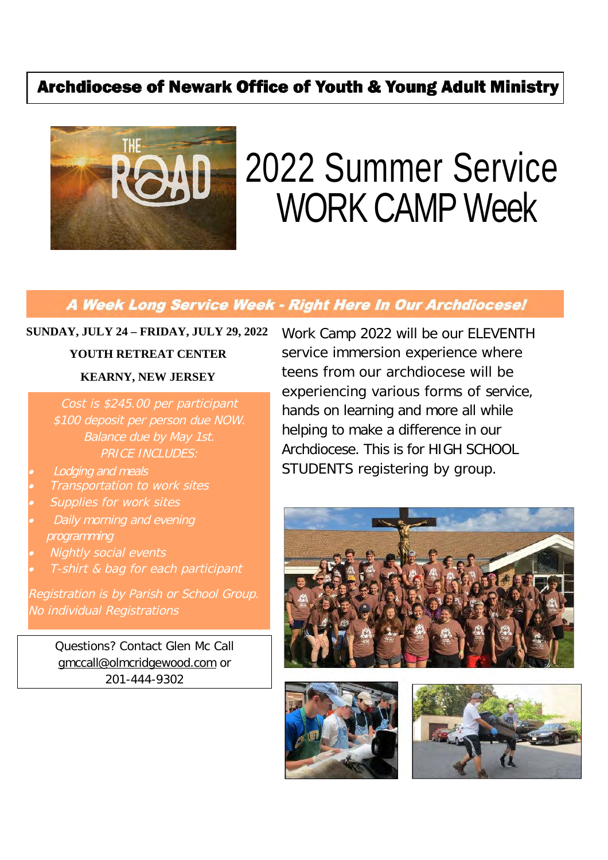# **Archdiocese of Newark Office of Youth & Young Adult Ministry**



# 2022 Summer Service WORK CAMP Week

# A Week Long Service Week - Right Here In Our Archdiocese!

**SUNDAY, JULY 24 – FRIDAY, JULY 29, 2022**

# **YOUTH RETREAT CENTER KEARNY, NEW JERSEY**

Cost is \$245.00 per participant \$100 deposit per person due NOW. Balance due by May 1st. PRICE INCLUDES:

- . Lodging and meals
- 0 Transportation to work sites
- . Supplies for work sites
- 0 Daily morning and evening programming
- 0 Nightly social events
- 0 T-shirt & bag for each participant

Registration is by Parish or School Group. No individual Registrations

> Questions? Contact Glen Mc Call gmccall@olmcridgewood.com or 201-444-9302

Work Camp 2022 will be our ELEVENTH service immersion experience where teens from our archdiocese will be experiencing various forms of service, hands on learning and more all while helping to make a difference in our Archdiocese. This is for HIGH SCHOOL STUDENTS registering by group.





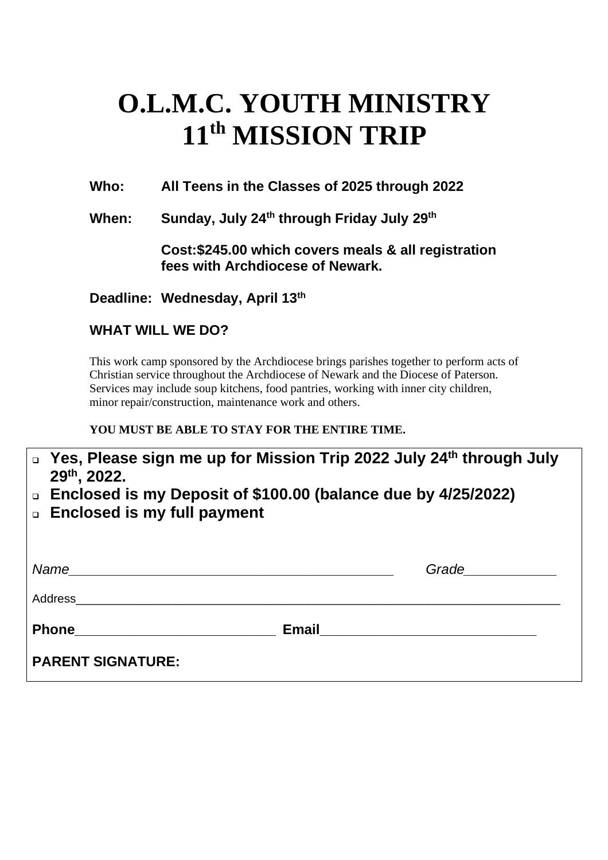# **O.L.M.C. YOUTH MINISTRY 11th MISSION TRIP**

**Who: All Teens in the Classes of 2025 through 2022**

**When: Sunday, July 24th through Friday July 29th**

**Cost:\$245.00 which covers meals & all registration fees with Archdiocese of Newark.**

**Deadline: Wednesday, April 13th**

## **WHAT WILL WE DO?**

This work camp sponsored by the Archdiocese brings parishes together to perform acts of Christian service throughout the Archdiocese of Newark and the Diocese of Paterson. Services may include soup kitchens, food pantries, working with inner city children, minor repair/construction, maintenance work and others.

### **YOU MUST BE ABLE TO STAY FOR THE ENTIRE TIME.**

| □ Yes, Please sign me up for Mission Trip 2022 July 24 <sup>th</sup> through July |
|-----------------------------------------------------------------------------------|
| $29th$ , 2022.                                                                    |
| □ Enclosed is my Deposit of \$100.00 (balance due by 4/25/2022)                   |

**Enclosed is my full payment**

| Name<br><u> 1989 - Johann John Harry Barn, mars and deutscher Stadt and der Stadt and der Stadt and der Stadt and der Sta</u> |              | Grade <u>Communication</u> |
|-------------------------------------------------------------------------------------------------------------------------------|--------------|----------------------------|
| Address                                                                                                                       |              |                            |
| <b>Phone</b><br><u> 1980 - Jan Barbara Barbara, maska kardinal (</u>                                                          | <b>Email</b> |                            |
| <b>PARENT SIGNATURE:</b>                                                                                                      |              |                            |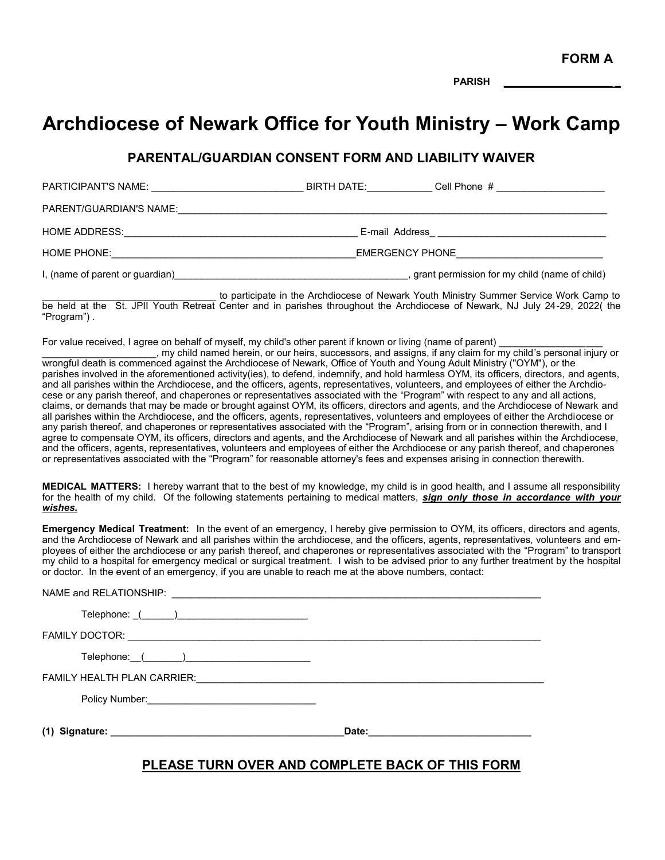**FORM A**

**PARISH \_\_\_\_\_\_\_\_\_\_\_\_\_\_\_\_\_\_\_\_ \_**

# **Archdiocese of Newark Office for Youth Ministry – Work Camp**

#### **PARENTAL/GUARDIAN CONSENT FORM AND LIABILITY WAIVER**

| PARTICIPANT'S NAME:             | BIRTH DATE:     | Cell Phone #                                    |
|---------------------------------|-----------------|-------------------------------------------------|
| PARENT/GUARDIAN'S NAME:         |                 |                                                 |
| HOME ADDRESS:                   | E-mail Address  |                                                 |
| HOME PHONE:                     | EMERGENCY PHONE |                                                 |
| I, (name of parent or guardian) |                 | , grant permission for my child (name of child) |

to participate in the Archdiocese of Newark Youth Ministry Summer Service Work Camp to be held at the St. JPII Youth Retreat Center and in parishes throughout the Archdiocese of Newark, NJ July 24-29, 2022( the "Program") .

For value received, I agree on behalf of myself, my child's other parent if known or living (name of parent)

 $\_$ , my child named herein, or our heirs, successors, and assigns, if any claim for my child's personal injury or wrongful death is commenced against the Archdiocese of Newark, Office of Youth and Young Adult Ministry ("OYM"), or the parishes involved in the aforementioned activity(ies), to defend, indemnify, and hold harmless OYM, its officers, directors, and agents, and all parishes within the Archdiocese, and the officers, agents, representatives, volunteers, and employees of either the Archdiocese or any parish thereof, and chaperones or representatives associated with the "Program" with respect to any and all actions, claims, or demands that may be made or brought against OYM, its officers, directors and agents, and the Archdiocese of Newark and all parishes within the Archdiocese, and the officers, agents, representatives, volunteers and employees of either the Archdiocese or any parish thereof, and chaperones or representatives associated with the "Program", arising from or in connection therewith, and I agree to compensate OYM, its officers, directors and agents, and the Archdiocese of Newark and all parishes within the Archdiocese, and the officers, agents, representatives, volunteers and employees of either the Archdiocese or any parish thereof, and chaperones or representatives associated with the "Program" for reasonable attorney's fees and expenses arising in connection therewith.

**MEDICAL MATTERS:** I hereby warrant that to the best of my knowledge, my child is in good health, and I assume all responsibility for the health of my child. Of the following statements pertaining to medical matters, *sign only those in accordance with your wishes.* 

**Emergency Medical Treatment:** In the event of an emergency, I hereby give permission to OYM, its officers, directors and agents, and the Archdiocese of Newark and all parishes within the archdiocese, and the officers, agents, representatives, volunteers and employees of either the archdiocese or any parish thereof, and chaperones or representatives associated with the "Program" to transport my child to a hospital for emergency medical or surgical treatment. I wish to be advised prior to any further treatment by the hospital or doctor. In the event of an emergency, if you are unable to reach me at the above numbers, contact:

|                     | Date: |  |
|---------------------|-------|--|
| Policy Number: 2008 |       |  |
|                     |       |  |
|                     |       |  |
|                     |       |  |
|                     |       |  |
|                     |       |  |

#### **PLEASE TURN OVER AND COMPLETE BACK OF THIS FORM**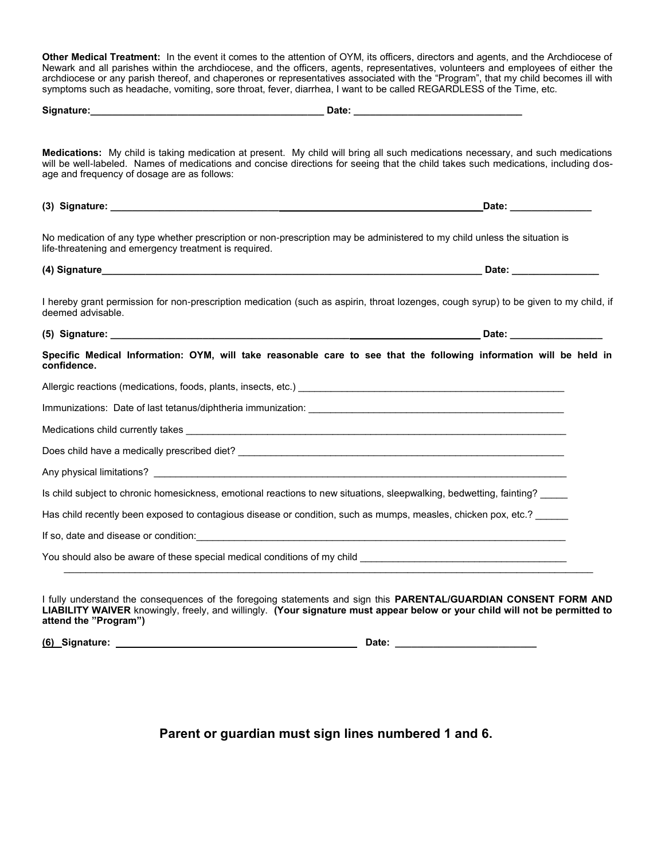**Other Medical Treatment:** In the event it comes to the attention of OYM, its officers, directors and agents, and the Archdiocese of Newark and all parishes within the archdiocese, and the officers, agents, representatives, volunteers and employees of either the archdiocese or any parish thereof, and chaperones or representatives associated with the "Program", that my child becomes ill with symptoms such as headache, vomiting, sore throat, fever, diarrhea, I want to be called REGARDLESS of the Time, etc.

| age and frequency of dosage are as follows:                                                                                                                                                                                          | Medications: My child is taking medication at present. My child will bring all such medications necessary, and such medications<br>will be well-labeled. Names of medications and concise directions for seeing that the child takes such medications, including dos- |
|--------------------------------------------------------------------------------------------------------------------------------------------------------------------------------------------------------------------------------------|-----------------------------------------------------------------------------------------------------------------------------------------------------------------------------------------------------------------------------------------------------------------------|
|                                                                                                                                                                                                                                      | Date: ______________                                                                                                                                                                                                                                                  |
| No medication of any type whether prescription or non-prescription may be administered to my child unless the situation is<br>life-threatening and emergency treatment is required.                                                  |                                                                                                                                                                                                                                                                       |
|                                                                                                                                                                                                                                      |                                                                                                                                                                                                                                                                       |
| deemed advisable.                                                                                                                                                                                                                    | I hereby grant permission for non-prescription medication (such as aspirin, throat lozenges, cough syrup) to be given to my child, if                                                                                                                                 |
|                                                                                                                                                                                                                                      |                                                                                                                                                                                                                                                                       |
| confidence.                                                                                                                                                                                                                          | Specific Medical Information: OYM, will take reasonable care to see that the following information will be held in                                                                                                                                                    |
| Allergic reactions (medications, foods, plants, insects, etc.) [19] Decrement and the material and the medications (medications, foods, plants, insects, etc.) [19] Decrement and the medications of the medication of the med       |                                                                                                                                                                                                                                                                       |
|                                                                                                                                                                                                                                      |                                                                                                                                                                                                                                                                       |
|                                                                                                                                                                                                                                      |                                                                                                                                                                                                                                                                       |
|                                                                                                                                                                                                                                      |                                                                                                                                                                                                                                                                       |
|                                                                                                                                                                                                                                      |                                                                                                                                                                                                                                                                       |
| Is child subject to chronic homesickness, emotional reactions to new situations, sleepwalking, bedwetting, fainting?                                                                                                                 |                                                                                                                                                                                                                                                                       |
| Has child recently been exposed to contagious disease or condition, such as mumps, measles, chicken pox, etc.?                                                                                                                       |                                                                                                                                                                                                                                                                       |
| If so, date and disease or condition: <b>All and the set of the set of the set of the set of the set of the set of the set of the set of the set of the set of the set of the set of the set of the set of the set of the set of</b> |                                                                                                                                                                                                                                                                       |
| You should also be aware of these special medical conditions of my child <b>Constanting the conditional condition</b>                                                                                                                |                                                                                                                                                                                                                                                                       |
|                                                                                                                                                                                                                                      |                                                                                                                                                                                                                                                                       |

I fully understand the consequences of the foregoing statements and sign this **PARENTAL/GUARDIAN CONSENT FORM AND LIABILITY WAIVER** knowingly, freely, and willingly. **(Your signature must appear below or your child will not be permitted to attend the "Program")**

**(6) Signature: Date: \_\_\_\_\_\_\_\_\_\_\_\_\_\_\_\_\_\_\_\_\_\_\_\_\_\_** 

**Parent or guardian must sign lines numbered 1 and 6.**